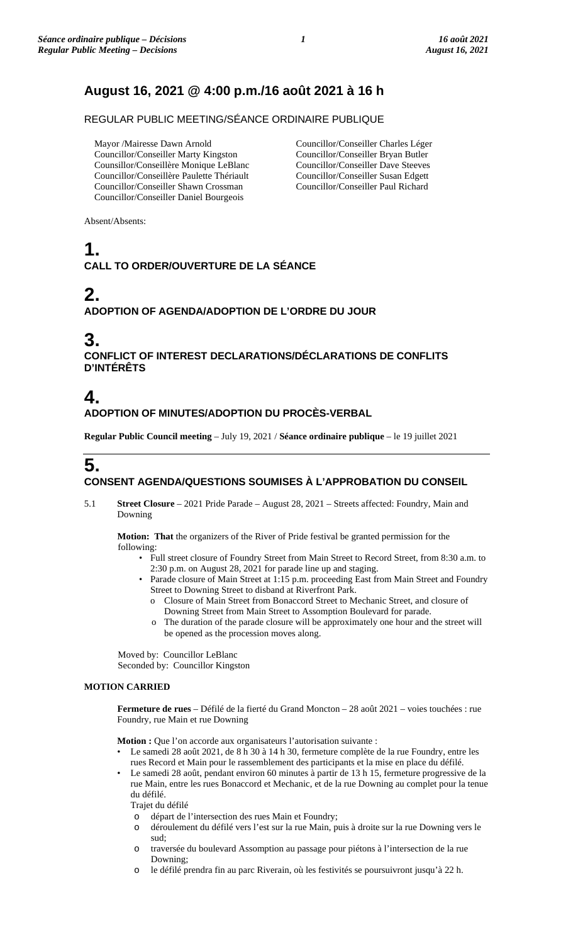# **August 16, 2021 @ 4:00 p.m./16 août 2021 à 16 h**

REGULAR PUBLIC MEETING/SÉANCE ORDINAIRE PUBLIQUE

Mayor /Mairesse Dawn Arnold Councillor/Conseiller Marty Kingston Counsillor/Conseillère Monique LeBlanc Councillor/Conseillère Paulette Thériault Councillor/Conseiller Shawn Crossman Councillor/Conseiller Daniel Bourgeois

Councillor/Conseiller Charles Léger Councillor/Conseiller Bryan Butler Councillor/Conseiller Dave Steeves Councillor/Conseiller Susan Edgett Councillor/Conseiller Paul Richard

Absent/Absents:

# **1. CALL TO ORDER/OUVERTURE DE LA SÉANCE**

# **2.**

**ADOPTION OF AGENDA/ADOPTION DE L'ORDRE DU JOUR**

# **3.**

**CONFLICT OF INTEREST DECLARATIONS/DÉCLARATIONS DE CONFLITS D'INTÉRÊTS**

# **4.**

**ADOPTION OF MINUTES/ADOPTION DU PROCÈS-VERBAL**

**Regular Public Council meeting** – July 19, 2021 / **Séance ordinaire publique** – le 19 juillet 2021

# **5. CONSENT AGENDA/QUESTIONS SOUMISES À L'APPROBATION DU CONSEIL**

5.1 **Street Closure** – 2021 Pride Parade – August 28, 2021 – Streets affected: Foundry, Main and Downing

**Motion: That** the organizers of the River of Pride festival be granted permission for the following:

- Full street closure of Foundry Street from Main Street to Record Street, from 8:30 a.m. to 2:30 p.m. on August 28, 2021 for parade line up and staging.
- Parade closure of Main Street at 1:15 p.m. proceeding East from Main Street and Foundry Street to Downing Street to disband at Riverfront Park.
	- o Closure of Main Street from Bonaccord Street to Mechanic Street, and closure of Downing Street from Main Street to Assomption Boulevard for parade.
	- The duration of the parade closure will be approximately one hour and the street will be opened as the procession moves along.

Moved by: Councillor LeBlanc Seconded by: Councillor Kingston

# **MOTION CARRIED**

**Fermeture de rues** – Défilé de la fierté du Grand Moncton – 28 août 2021 – voies touchées : rue Foundry, rue Main et rue Downing

**Motion :** Que l'on accorde aux organisateurs l'autorisation suivante :

- Le samedi 28 août 2021, de 8 h 30 à 14 h 30, fermeture complète de la rue Foundry, entre les rues Record et Main pour le rassemblement des participants et la mise en place du défilé.
- Le samedi 28 août, pendant environ 60 minutes à partir de 13 h 15, fermeture progressive de la rue Main, entre les rues Bonaccord et Mechanic, et de la rue Downing au complet pour la tenue du défilé.

Trajet du défilé

- o départ de l'intersection des rues Main et Foundry;
- o déroulement du défilé vers l'est sur la rue Main, puis à droite sur la rue Downing vers le sud;
- traversée du boulevard Assomption au passage pour piétons à l'intersection de la rue Downing;
- o le défilé prendra fin au parc Riverain, où les festivités se poursuivront jusqu'à 22 h.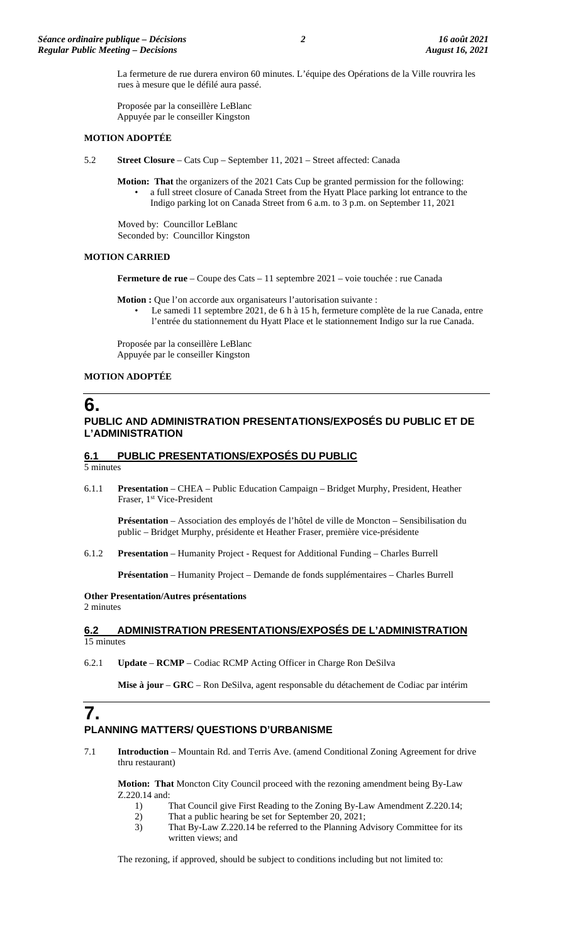La fermeture de rue durera environ 60 minutes. L'équipe des Opérations de la Ville rouvrira les rues à mesure que le défilé aura passé.

Proposée par la conseillère LeBlanc Appuyée par le conseiller Kingston

#### **MOTION ADOPTÉE**

5.2 **Street Closure** – Cats Cup – September 11, 2021 – Street affected: Canada

**Motion: That** the organizers of the 2021 Cats Cup be granted permission for the following: • a full street closure of Canada Street from the Hyatt Place parking lot entrance to the Indigo parking lot on Canada Street from 6 a.m. to 3 p.m. on September 11, 2021

Moved by: Councillor LeBlanc Seconded by: Councillor Kingston

#### **MOTION CARRIED**

**Fermeture de rue** – Coupe des Cats – 11 septembre 2021 – voie touchée : rue Canada

**Motion :** Que l'on accorde aux organisateurs l'autorisation suivante :

Le samedi 11 septembre 2021, de 6 h à 15 h, fermeture complète de la rue Canada, entre l'entrée du stationnement du Hyatt Place et le stationnement Indigo sur la rue Canada.

Proposée par la conseillère LeBlanc Appuyée par le conseiller Kingston

## **MOTION ADOPTÉE**

# **6. PUBLIC AND ADMINISTRATION PRESENTATIONS/EXPOSÉS DU PUBLIC ET DE L'ADMINISTRATION**

### **6.1 PUBLIC PRESENTATIONS/EXPOSÉS DU PUBLIC**

5 minutes

6.1.1 **Presentation** – CHEA – Public Education Campaign – Bridget Murphy, President, Heather Fraser, 1<sup>st</sup> Vice-President

**Présentation** – Association des employés de l'hôtel de ville de Moncton – Sensibilisation du public – Bridget Murphy, présidente et Heather Fraser, première vice-présidente

6.1.2 **Presentation** – Humanity Project - Request for Additional Funding – Charles Burrell

**Présentation** – Humanity Project – Demande de fonds supplémentaires – Charles Burrell

#### **Other Presentation/Autres présentations**  2 minutes

### **6.2 ADMINISTRATION PRESENTATIONS/EXPOSÉS DE L'ADMINISTRATION**  15 minutes

6.2.1 **Update** – **RCMP** – Codiac RCMP Acting Officer in Charge Ron DeSilva

**Mise à jour** – **GRC** – Ron DeSilva, agent responsable du détachement de Codiac par intérim

# **7. PLANNING MATTERS/ QUESTIONS D'URBANISME**

7.1 **Introduction** – Mountain Rd. and Terris Ave. (amend Conditional Zoning Agreement for drive thru restaurant)

**Motion: That** Moncton City Council proceed with the rezoning amendment being By-Law Z.220.14 and:

- 1) That Council give First Reading to the Zoning By-Law Amendment Z.220.14;
- 2) That a public hearing be set for September 20, 2021;
- 3) That By-Law Z.220.14 be referred to the Planning Advisory Committee for its written views; and

The rezoning, if approved, should be subject to conditions including but not limited to: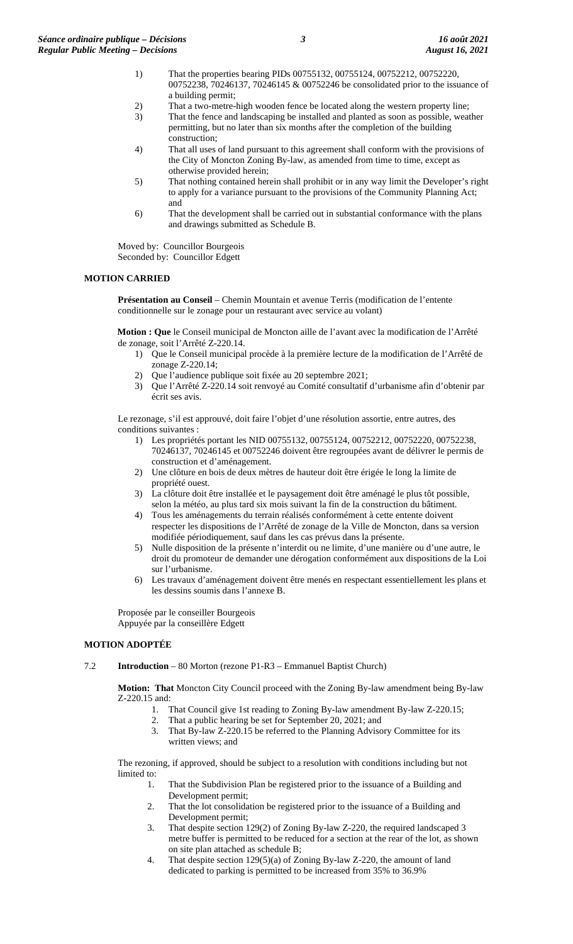- 1) That the properties bearing PIDs 00755132, 00755124, 00752212, 00752220, 00752238, 70246137, 70246145 & 00752246 be consolidated prior to the issuance of a building permit;
- 2) That a two-metre-high wooden fence be located along the western property line;
- 3) That the fence and landscaping be installed and planted as soon as possible, weather permitting, but no later than six months after the completion of the building construction;
- 4) That all uses of land pursuant to this agreement shall conform with the provisions of the City of Moncton Zoning By-law, as amended from time to time, except as otherwise provided herein;
- 5) That nothing contained herein shall prohibit or in any way limit the Developer's right to apply for a variance pursuant to the provisions of the Community Planning Act; and
- 6) That the development shall be carried out in substantial conformance with the plans and drawings submitted as Schedule B.

Moved by: Councillor Bourgeois Seconded by: Councillor Edgett

#### **MOTION CARRIED**

**Présentation au Conseil** – Chemin Mountain et avenue Terris (modification de l'entente conditionnelle sur le zonage pour un restaurant avec service au volant)

**Motion : Que** le Conseil municipal de Moncton aille de l'avant avec la modification de l'Arrêté de zonage, soit l'Arrêté Z-220.14.

- 1) Que le Conseil municipal procède à la première lecture de la modification de l'Arrêté de zonage Z-220.14;
- 2) Que l'audience publique soit fixée au 20 septembre 2021;
- 3) Que l'Arrêté Z-220.14 soit renvoyé au Comité consultatif d'urbanisme afin d'obtenir par écrit ses avis.

Le rezonage, s'il est approuvé, doit faire l'objet d'une résolution assortie, entre autres, des conditions suivantes :

- 1) Les propriétés portant les NID 00755132, 00755124, 00752212, 00752220, 00752238, 70246137, 70246145 et 00752246 doivent être regroupées avant de délivrer le permis de construction et d'aménagement.
- 2) Une clôture en bois de deux mètres de hauteur doit être érigée le long la limite de propriété ouest.
- 3) La clôture doit être installée et le paysagement doit être aménagé le plus tôt possible, selon la météo, au plus tard six mois suivant la fin de la construction du bâtiment.
- 4) Tous les aménagements du terrain réalisés conformément à cette entente doivent respecter les dispositions de l'Arrêté de zonage de la Ville de Moncton, dans sa version modifiée périodiquement, sauf dans les cas prévus dans la présente.
- 5) Nulle disposition de la présente n'interdit ou ne limite, d'une manière ou d'une autre, le droit du promoteur de demander une dérogation conformément aux dispositions de la Loi sur l'urbanisme.
- 6) Les travaux d'aménagement doivent être menés en respectant essentiellement les plans et les dessins soumis dans l'annexe B.

Proposée par le conseiller Bourgeois Appuyée par la conseillère Edgett

## **MOTION ADOPTÉE**

7.2 **Introduction** – 80 Morton (rezone P1-R3 – Emmanuel Baptist Church)

**Motion: That** Moncton City Council proceed with the Zoning By-law amendment being By-law Z-220.15 and:

- 1. That Council give 1st reading to Zoning By-law amendment By-law Z-220.15;
- 2. That a public hearing be set for September 20, 2021; and
- 3. That By-law Z-220.15 be referred to the Planning Advisory Committee for its written views; and

The rezoning, if approved, should be subject to a resolution with conditions including but not limited to:

- 1. That the Subdivision Plan be registered prior to the issuance of a Building and Development permit;
- 2. That the lot consolidation be registered prior to the issuance of a Building and Development permit;
- 3. That despite section 129(2) of Zoning By-law Z-220, the required landscaped 3 metre buffer is permitted to be reduced for a section at the rear of the lot, as shown on site plan attached as schedule B;
- 4. That despite section 129(5)(a) of Zoning By-law Z-220, the amount of land dedicated to parking is permitted to be increased from 35% to 36.9%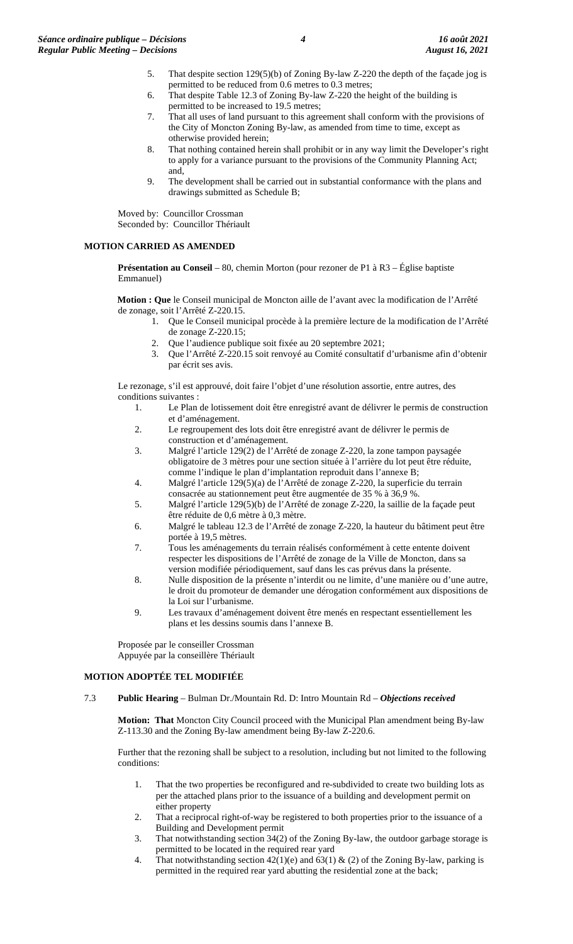- 5. That despite section 129(5)(b) of Zoning By-law Z-220 the depth of the façade jog is permitted to be reduced from 0.6 metres to 0.3 metres;
- 6. That despite Table 12.3 of Zoning By-law Z-220 the height of the building is permitted to be increased to 19.5 metres;
- 7. That all uses of land pursuant to this agreement shall conform with the provisions of the City of Moncton Zoning By-law, as amended from time to time, except as otherwise provided herein;
- 8. That nothing contained herein shall prohibit or in any way limit the Developer's right to apply for a variance pursuant to the provisions of the Community Planning Act; and,
- 9. The development shall be carried out in substantial conformance with the plans and drawings submitted as Schedule B;

Moved by: Councillor Crossman Seconded by: Councillor Thériault

## **MOTION CARRIED AS AMENDED**

**Présentation au Conseil** – 80, chemin Morton (pour rezoner de P1 à R3 – Église baptiste Emmanuel)

**Motion : Que** le Conseil municipal de Moncton aille de l'avant avec la modification de l'Arrêté de zonage, soit l'Arrêté Z-220.15.

- 1. Que le Conseil municipal procède à la première lecture de la modification de l'Arrêté de zonage Z-220.15;
	- 2. Que l'audience publique soit fixée au 20 septembre 2021;
	- 3. Que l'Arrêté Z-220.15 soit renvoyé au Comité consultatif d'urbanisme afin d'obtenir par écrit ses avis.

Le rezonage, s'il est approuvé, doit faire l'objet d'une résolution assortie, entre autres, des conditions suivantes :

- 1. Le Plan de lotissement doit être enregistré avant de délivrer le permis de construction et d'aménagement.
- 2. Le regroupement des lots doit être enregistré avant de délivrer le permis de construction et d'aménagement.
- 3. Malgré l'article 129(2) de l'Arrêté de zonage Z-220, la zone tampon paysagée obligatoire de 3 mètres pour une section située à l'arrière du lot peut être réduite, comme l'indique le plan d'implantation reproduit dans l'annexe B;
- 4. Malgré l'article 129(5)(a) de l'Arrêté de zonage Z-220, la superficie du terrain consacrée au stationnement peut être augmentée de 35 % à 36,9 %.
- 5. Malgré l'article 129(5)(b) de l'Arrêté de zonage Z-220, la saillie de la façade peut être réduite de 0,6 mètre à 0,3 mètre.
- 6. Malgré le tableau 12.3 de l'Arrêté de zonage Z-220, la hauteur du bâtiment peut être portée à 19,5 mètres.
- 7. Tous les aménagements du terrain réalisés conformément à cette entente doivent respecter les dispositions de l'Arrêté de zonage de la Ville de Moncton, dans sa version modifiée périodiquement, sauf dans les cas prévus dans la présente.
- 8. Nulle disposition de la présente n'interdit ou ne limite, d'une manière ou d'une autre, le droit du promoteur de demander une dérogation conformément aux dispositions de la Loi sur l'urbanisme.
- 9. Les travaux d'aménagement doivent être menés en respectant essentiellement les plans et les dessins soumis dans l'annexe B.

Proposée par le conseiller Crossman Appuyée par la conseillère Thériault

#### **MOTION ADOPTÉE TEL MODIFIÉE**

7.3 **Public Hearing** – Bulman Dr./Mountain Rd. D: Intro Mountain Rd – *Objections received*

**Motion: That** Moncton City Council proceed with the Municipal Plan amendment being By-law Z-113.30 and the Zoning By-law amendment being By-law Z-220.6.

Further that the rezoning shall be subject to a resolution, including but not limited to the following conditions:

- 1. That the two properties be reconfigured and re-subdivided to create two building lots as per the attached plans prior to the issuance of a building and development permit on either property
- 2. That a reciprocal right-of-way be registered to both properties prior to the issuance of a Building and Development permit
- 3. That notwithstanding section 34(2) of the Zoning By-law, the outdoor garbage storage is permitted to be located in the required rear yard
- 4. That notwithstanding section  $42(1)(e)$  and  $63(1)$  & (2) of the Zoning By-law, parking is permitted in the required rear yard abutting the residential zone at the back;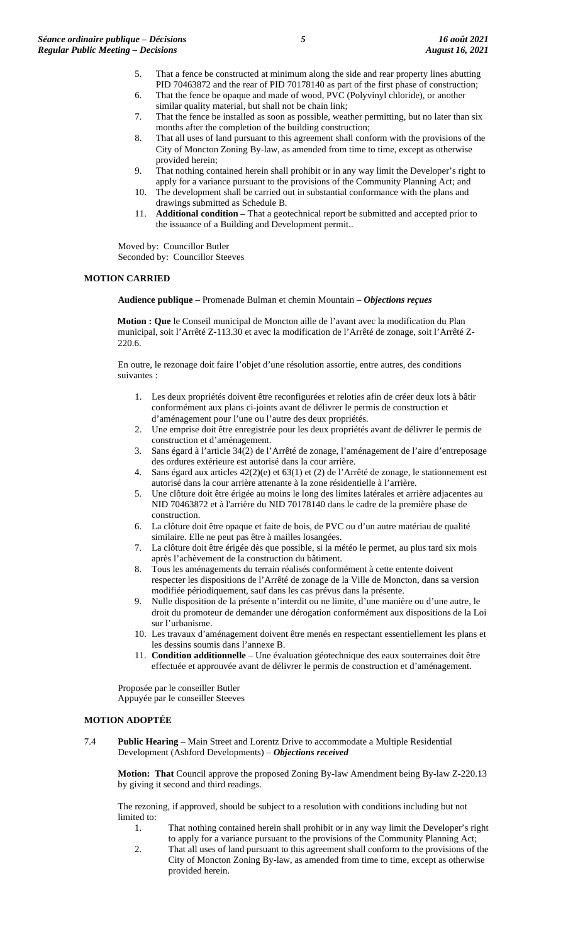- 5. That a fence be constructed at minimum along the side and rear property lines abutting PID 70463872 and the rear of PID 70178140 as part of the first phase of construction;
- 6. That the fence be opaque and made of wood, PVC (Polyvinyl chloride), or another similar quality material, but shall not be chain link;
- 7. That the fence be installed as soon as possible, weather permitting, but no later than six months after the completion of the building construction;
- 8. That all uses of land pursuant to this agreement shall conform with the provisions of the City of Moncton Zoning By-law, as amended from time to time, except as otherwise provided herein;
- 9. That nothing contained herein shall prohibit or in any way limit the Developer's right to apply for a variance pursuant to the provisions of the Community Planning Act; and
- 10. The development shall be carried out in substantial conformance with the plans and drawings submitted as Schedule B.
- 11. **Additional condition –** That a geotechnical report be submitted and accepted prior to the issuance of a Building and Development permit..

Moved by: Councillor Butler Seconded by: Councillor Steeves

#### **MOTION CARRIED**

**Audience publique** – Promenade Bulman et chemin Mountain – *Objections reçues*

**Motion : Que** le Conseil municipal de Moncton aille de l'avant avec la modification du Plan municipal, soit l'Arrêté Z-113.30 et avec la modification de l'Arrêté de zonage, soit l'Arrêté Z-220.6.

En outre, le rezonage doit faire l'objet d'une résolution assortie, entre autres, des conditions suivantes :

- 1. Les deux propriétés doivent être reconfigurées et reloties afin de créer deux lots à bâtir conformément aux plans ci-joints avant de délivrer le permis de construction et d'aménagement pour l'une ou l'autre des deux propriétés.
- 2. Une emprise doit être enregistrée pour les deux propriétés avant de délivrer le permis de construction et d'aménagement.
- 3. Sans égard à l'article 34(2) de l'Arrêté de zonage, l'aménagement de l'aire d'entreposage des ordures extérieure est autorisé dans la cour arrière.
- 4. Sans égard aux articles 42(2)(e) et 63(1) et (2) de l'Arrêté de zonage, le stationnement est autorisé dans la cour arrière attenante à la zone résidentielle à l'arrière.
- 5. Une clôture doit être érigée au moins le long des limites latérales et arrière adjacentes au NID 70463872 et à l'arrière du NID 70178140 dans le cadre de la première phase de construction.
- 6. La clôture doit être opaque et faite de bois, de PVC ou d'un autre matériau de qualité similaire. Elle ne peut pas être à mailles losangées.
- 7. La clôture doit être érigée dès que possible, si la météo le permet, au plus tard six mois après l'achèvement de la construction du bâtiment.
- 8. Tous les aménagements du terrain réalisés conformément à cette entente doivent respecter les dispositions de l'Arrêté de zonage de la Ville de Moncton, dans sa version modifiée périodiquement, sauf dans les cas prévus dans la présente.
- 9. Nulle disposition de la présente n'interdit ou ne limite, d'une manière ou d'une autre, le droit du promoteur de demander une dérogation conformément aux dispositions de la Loi sur l'urbanisme.
- 10. Les travaux d'aménagement doivent être menés en respectant essentiellement les plans et les dessins soumis dans l'annexe B.
- 11. **Condition additionnelle** Une évaluation géotechnique des eaux souterraines doit être effectuée et approuvée avant de délivrer le permis de construction et d'aménagement.

Proposée par le conseiller Butler Appuyée par le conseiller Steeves

## **MOTION ADOPTÉE**

7.4 **Public Hearing** – Main Street and Lorentz Drive to accommodate a Multiple Residential Development (Ashford Developments) – *Objections received*

**Motion: That** Council approve the proposed Zoning By-law Amendment being By-law Z-220.13 by giving it second and third readings.

The rezoning, if approved, should be subject to a resolution with conditions including but not limited to:

- 1. That nothing contained herein shall prohibit or in any way limit the Developer's right to apply for a variance pursuant to the provisions of the Community Planning Act;
- 2. That all uses of land pursuant to this agreement shall conform to the provisions of the City of Moncton Zoning By-law, as amended from time to time, except as otherwise provided herein.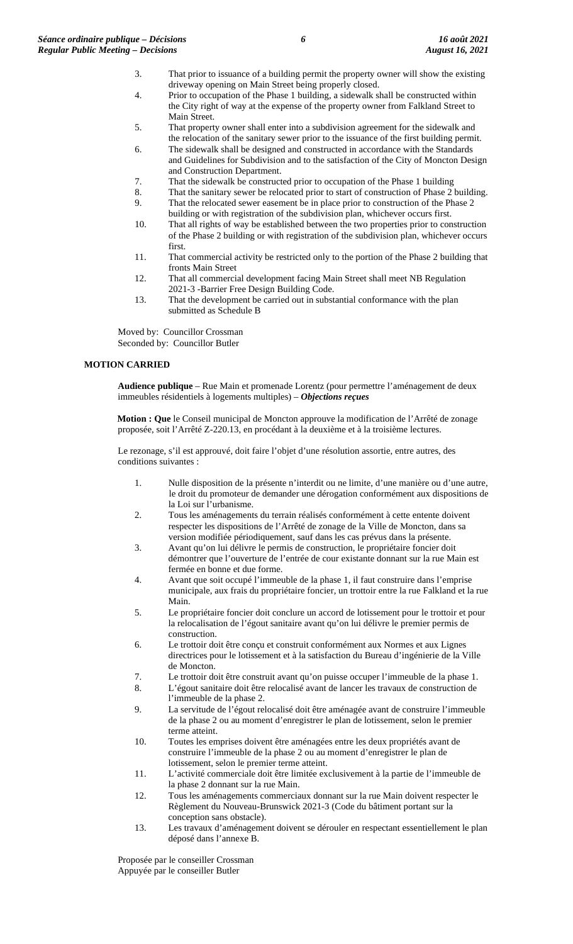- 3. That prior to issuance of a building permit the property owner will show the existing driveway opening on Main Street being properly closed.
- 4. Prior to occupation of the Phase 1 building, a sidewalk shall be constructed within the City right of way at the expense of the property owner from Falkland Street to Main Street.
- 5. That property owner shall enter into a subdivision agreement for the sidewalk and the relocation of the sanitary sewer prior to the issuance of the first building permit.
- 6. The sidewalk shall be designed and constructed in accordance with the Standards and Guidelines for Subdivision and to the satisfaction of the City of Moncton Design and Construction Department.
- 7. That the sidewalk be constructed prior to occupation of the Phase 1 building
- 8. That the sanitary sewer be relocated prior to start of construction of Phase 2 building. 9. That the relocated sewer easement be in place prior to construction of the Phase 2
- building or with registration of the subdivision plan, whichever occurs first.
- 10. That all rights of way be established between the two properties prior to construction of the Phase 2 building or with registration of the subdivision plan, whichever occurs first.
- 11. That commercial activity be restricted only to the portion of the Phase 2 building that fronts Main Street
- 12. That all commercial development facing Main Street shall meet NB Regulation 2021-3 -Barrier Free Design Building Code.
- 13. That the development be carried out in substantial conformance with the plan submitted as Schedule B

Moved by: Councillor Crossman Seconded by: Councillor Butler

## **MOTION CARRIED**

**Audience publique** – Rue Main et promenade Lorentz (pour permettre l'aménagement de deux immeubles résidentiels à logements multiples) – *Objections reçues*

**Motion : Que** le Conseil municipal de Moncton approuve la modification de l'Arrêté de zonage proposée, soit l'Arrêté Z-220.13, en procédant à la deuxième et à la troisième lectures.

Le rezonage, s'il est approuvé, doit faire l'objet d'une résolution assortie, entre autres, des conditions suivantes :

- 1. Nulle disposition de la présente n'interdit ou ne limite, d'une manière ou d'une autre, le droit du promoteur de demander une dérogation conformément aux dispositions de la Loi sur l'urbanisme.
- 2. Tous les aménagements du terrain réalisés conformément à cette entente doivent respecter les dispositions de l'Arrêté de zonage de la Ville de Moncton, dans sa version modifiée périodiquement, sauf dans les cas prévus dans la présente.
- 3. Avant qu'on lui délivre le permis de construction, le propriétaire foncier doit démontrer que l'ouverture de l'entrée de cour existante donnant sur la rue Main est fermée en bonne et due forme.
- 4. Avant que soit occupé l'immeuble de la phase 1, il faut construire dans l'emprise municipale, aux frais du propriétaire foncier, un trottoir entre la rue Falkland et la rue Main.
- 5. Le propriétaire foncier doit conclure un accord de lotissement pour le trottoir et pour la relocalisation de l'égout sanitaire avant qu'on lui délivre le premier permis de construction.
- 6. Le trottoir doit être conçu et construit conformément aux Normes et aux Lignes directrices pour le lotissement et à la satisfaction du Bureau d'ingénierie de la Ville de Moncton.
- 7. Le trottoir doit être construit avant qu'on puisse occuper l'immeuble de la phase 1.

8. L'égout sanitaire doit être relocalisé avant de lancer les travaux de construction de l'immeuble de la phase 2.

- 9. La servitude de l'égout relocalisé doit être aménagée avant de construire l'immeuble de la phase 2 ou au moment d'enregistrer le plan de lotissement, selon le premier terme atteint.
- 10. Toutes les emprises doivent être aménagées entre les deux propriétés avant de construire l'immeuble de la phase 2 ou au moment d'enregistrer le plan de lotissement, selon le premier terme atteint.
- 11. L'activité commerciale doit être limitée exclusivement à la partie de l'immeuble de la phase 2 donnant sur la rue Main.
- 12. Tous les aménagements commerciaux donnant sur la rue Main doivent respecter le Règlement du Nouveau-Brunswick 2021-3 (Code du bâtiment portant sur la conception sans obstacle).
- 13. Les travaux d'aménagement doivent se dérouler en respectant essentiellement le plan déposé dans l'annexe B.

Proposée par le conseiller Crossman Appuyée par le conseiller Butler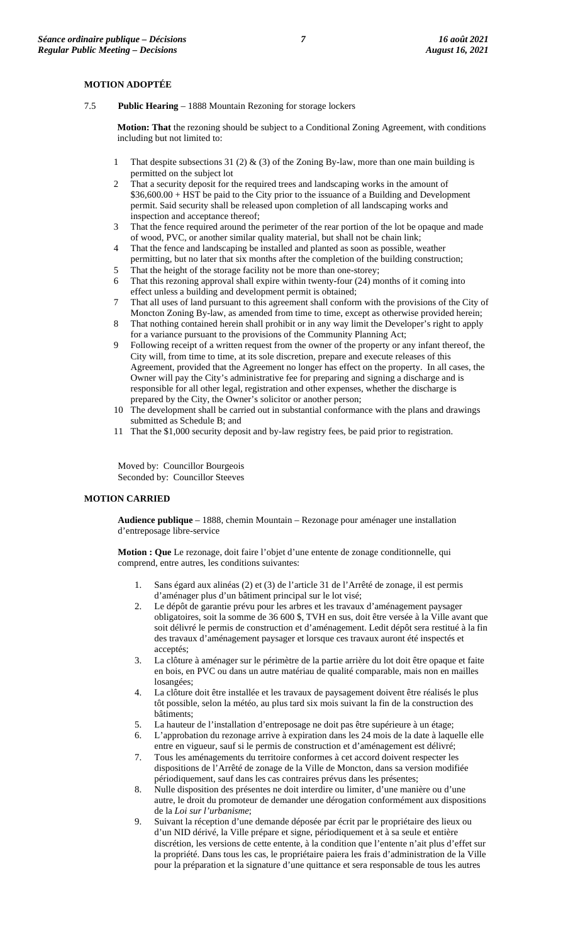#### **MOTION ADOPTÉE**

7.5 **Public Hearing** – 1888 Mountain Rezoning for storage lockers

**Motion: That** the rezoning should be subject to a Conditional Zoning Agreement, with conditions including but not limited to:

- 1 That despite subsections 31 (2) & (3) of the Zoning By-law, more than one main building is permitted on the subject lot
- 2 That a security deposit for the required trees and landscaping works in the amount of \$36,600.00 + HST be paid to the City prior to the issuance of a Building and Development permit. Said security shall be released upon completion of all landscaping works and inspection and acceptance thereof;
- 3 That the fence required around the perimeter of the rear portion of the lot be opaque and made of wood, PVC, or another similar quality material, but shall not be chain link;
- 4 That the fence and landscaping be installed and planted as soon as possible, weather permitting, but no later that six months after the completion of the building construction;
- 5 That the height of the storage facility not be more than one-storey; 6 That this rezoning approval shall expire within twenty-four (24) months of it coming into
- effect unless a building and development permit is obtained; 7 That all uses of land pursuant to this agreement shall conform with the provisions of the City of Moncton Zoning By-law, as amended from time to time, except as otherwise provided herein;
- 8 That nothing contained herein shall prohibit or in any way limit the Developer's right to apply for a variance pursuant to the provisions of the Community Planning Act;
- 9 Following receipt of a written request from the owner of the property or any infant thereof, the City will, from time to time, at its sole discretion, prepare and execute releases of this Agreement, provided that the Agreement no longer has effect on the property. In all cases, the Owner will pay the City's administrative fee for preparing and signing a discharge and is responsible for all other legal, registration and other expenses, whether the discharge is prepared by the City, the Owner's solicitor or another person;
- 10 The development shall be carried out in substantial conformance with the plans and drawings submitted as Schedule B; and
- 11 That the \$1,000 security deposit and by-law registry fees, be paid prior to registration.

Moved by: Councillor Bourgeois Seconded by: Councillor Steeves

#### **MOTION CARRIED**

**Audience publique** – 1888, chemin Mountain – Rezonage pour aménager une installation d'entreposage libre-service

**Motion : Que** Le rezonage, doit faire l'objet d'une entente de zonage conditionnelle, qui comprend, entre autres, les conditions suivantes:

- 1. Sans égard aux alinéas (2) et (3) de l'article 31 de l'Arrêté de zonage, il est permis d'aménager plus d'un bâtiment principal sur le lot visé;
- 2. Le dépôt de garantie prévu pour les arbres et les travaux d'aménagement paysager obligatoires, soit la somme de 36 600 \$, TVH en sus, doit être versée à la Ville avant que soit délivré le permis de construction et d'aménagement. Ledit dépôt sera restitué à la fin des travaux d'aménagement paysager et lorsque ces travaux auront été inspectés et acceptés;
- 3. La clôture à aménager sur le périmètre de la partie arrière du lot doit être opaque et faite en bois, en PVC ou dans un autre matériau de qualité comparable, mais non en mailles losangées;
- 4. La clôture doit être installée et les travaux de paysagement doivent être réalisés le plus tôt possible, selon la météo, au plus tard six mois suivant la fin de la construction des bâtiments;
- 5. La hauteur de l'installation d'entreposage ne doit pas être supérieure à un étage;
- 6. L'approbation du rezonage arrive à expiration dans les 24 mois de la date à laquelle elle entre en vigueur, sauf si le permis de construction et d'aménagement est délivré;
- 7. Tous les aménagements du territoire conformes à cet accord doivent respecter les dispositions de l'Arrêté de zonage de la Ville de Moncton, dans sa version modifiée périodiquement, sauf dans les cas contraires prévus dans les présentes;
- 8. Nulle disposition des présentes ne doit interdire ou limiter, d'une manière ou d'une autre, le droit du promoteur de demander une dérogation conformément aux dispositions de la *Loi sur l'urbanisme*;
- 9. Suivant la réception d'une demande déposée par écrit par le propriétaire des lieux ou d'un NID dérivé, la Ville prépare et signe, périodiquement et à sa seule et entière discrétion, les versions de cette entente, à la condition que l'entente n'ait plus d'effet sur la propriété. Dans tous les cas, le propriétaire paiera les frais d'administration de la Ville pour la préparation et la signature d'une quittance et sera responsable de tous les autres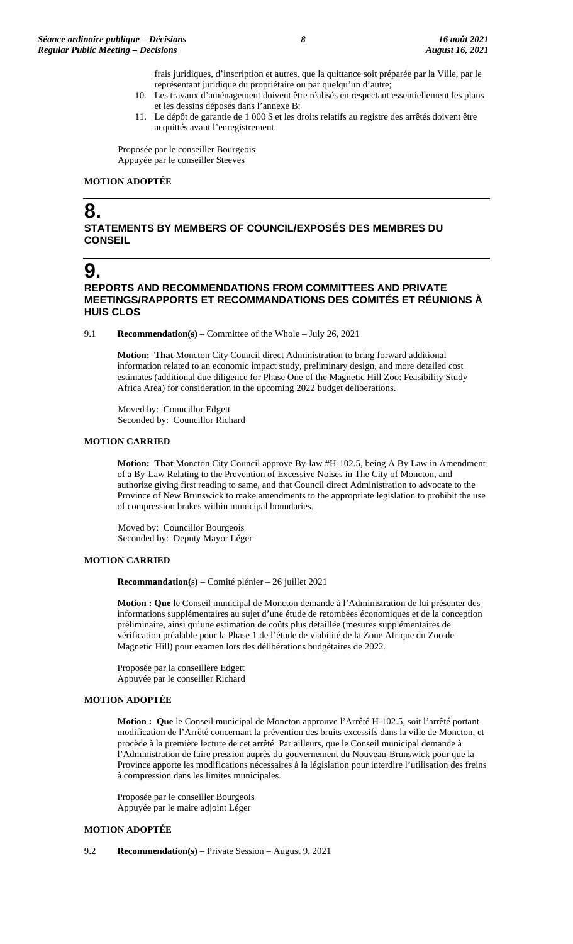- frais juridiques, d'inscription et autres, que la quittance soit préparée par la Ville, par le représentant juridique du propriétaire ou par quelqu'un d'autre;
- 10. Les travaux d'aménagement doivent être réalisés en respectant essentiellement les plans et les dessins déposés dans l'annexe B;
- 11. Le dépôt de garantie de 1 000 \$ et les droits relatifs au registre des arrêtés doivent être acquittés avant l'enregistrement.

Proposée par le conseiller Bourgeois Appuyée par le conseiller Steeves

#### **MOTION ADOPTÉE**

# **8.**

**STATEMENTS BY MEMBERS OF COUNCIL/EXPOSÉS DES MEMBRES DU CONSEIL**

# **9.**

**REPORTS AND RECOMMENDATIONS FROM COMMITTEES AND PRIVATE MEETINGS/RAPPORTS ET RECOMMANDATIONS DES COMITÉS ET RÉUNIONS À HUIS CLOS**

9.1 **Recommendation(s)** – Committee of the Whole – July 26, 2021

**Motion: That** Moncton City Council direct Administration to bring forward additional information related to an economic impact study, preliminary design, and more detailed cost estimates (additional due diligence for Phase One of the Magnetic Hill Zoo: Feasibility Study Africa Area) for consideration in the upcoming 2022 budget deliberations.

Moved by: Councillor Edgett Seconded by: Councillor Richard

### **MOTION CARRIED**

**Motion: That** Moncton City Council approve By-law #H-102.5, being A By Law in Amendment of a By-Law Relating to the Prevention of Excessive Noises in The City of Moncton, and authorize giving first reading to same, and that Council direct Administration to advocate to the Province of New Brunswick to make amendments to the appropriate legislation to prohibit the use of compression brakes within municipal boundaries.

Moved by: Councillor Bourgeois Seconded by: Deputy Mayor Léger

## **MOTION CARRIED**

**Recommandation(s)** – Comité plénier – 26 juillet 2021

**Motion : Que** le Conseil municipal de Moncton demande à l'Administration de lui présenter des informations supplémentaires au sujet d'une étude de retombées économiques et de la conception préliminaire, ainsi qu'une estimation de coûts plus détaillée (mesures supplémentaires de vérification préalable pour la Phase 1 de l'étude de viabilité de la Zone Afrique du Zoo de Magnetic Hill) pour examen lors des délibérations budgétaires de 2022.

Proposée par la conseillère Edgett Appuyée par le conseiller Richard

## **MOTION ADOPTÉE**

**Motion : Que** le Conseil municipal de Moncton approuve l'Arrêté H-102.5, soit l'arrêté portant modification de l'Arrêté concernant la prévention des bruits excessifs dans la ville de Moncton, et procède à la première lecture de cet arrêté. Par ailleurs, que le Conseil municipal demande à l'Administration de faire pression auprès du gouvernement du Nouveau-Brunswick pour que la Province apporte les modifications nécessaires à la législation pour interdire l'utilisation des freins à compression dans les limites municipales.

Proposée par le conseiller Bourgeois Appuyée par le maire adjoint Léger

## **MOTION ADOPTÉE**

9.2 **Recommendation(s)** – Private Session – August 9, 2021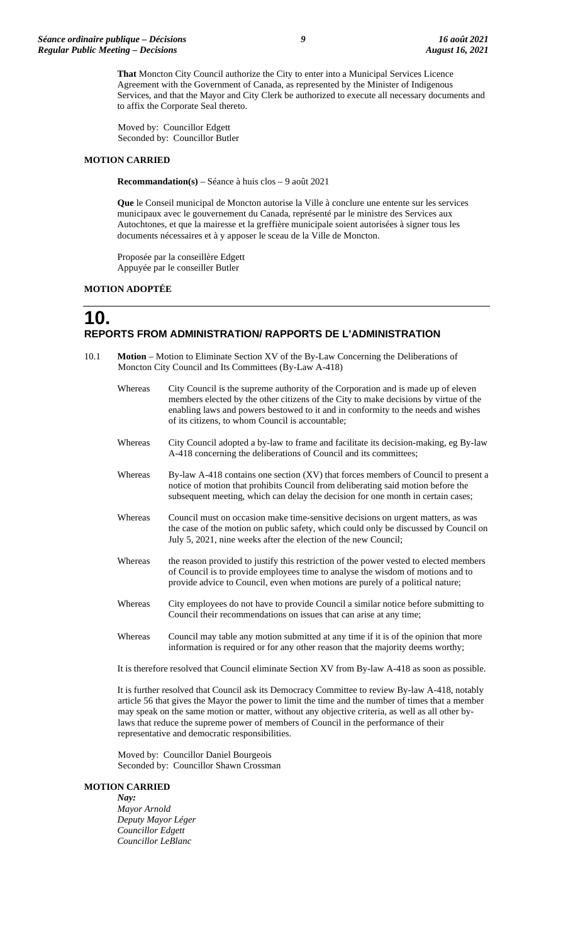**That** Moncton City Council authorize the City to enter into a Municipal Services Licence Agreement with the Government of Canada, as represented by the Minister of Indigenous Services, and that the Mayor and City Clerk be authorized to execute all necessary documents and to affix the Corporate Seal thereto.

Moved by: Councillor Edgett Seconded by: Councillor Butler

#### **MOTION CARRIED**

**Recommandation(s)** – Séance à huis clos – 9 août 2021

**Que** le Conseil municipal de Moncton autorise la Ville à conclure une entente sur les services municipaux avec le gouvernement du Canada, représenté par le ministre des Services aux Autochtones, et que la mairesse et la greffière municipale soient autorisées à signer tous les documents nécessaires et à y apposer le sceau de la Ville de Moncton.

Proposée par la conseillère Edgett Appuyée par le conseiller Butler

#### **MOTION ADOPTÉE**

**10.**

# **REPORTS FROM ADMINISTRATION/ RAPPORTS DE L'ADMINISTRATION**

- 10.1 **Motion** Motion to Eliminate Section XV of the By-Law Concerning the Deliberations of Moncton City Council and Its Committees (By-Law A-418)
	- Whereas City Council is the supreme authority of the Corporation and is made up of eleven members elected by the other citizens of the City to make decisions by virtue of the enabling laws and powers bestowed to it and in conformity to the needs and wishes of its citizens, to whom Council is accountable;
	- Whereas City Council adopted a by-law to frame and facilitate its decision-making, eg By-law A-418 concerning the deliberations of Council and its committees;
	- Whereas By-law A-418 contains one section (XV) that forces members of Council to present a notice of motion that prohibits Council from deliberating said motion before the subsequent meeting, which can delay the decision for one month in certain cases;
	- Whereas Council must on occasion make time-sensitive decisions on urgent matters, as was the case of the motion on public safety, which could only be discussed by Council on July 5, 2021, nine weeks after the election of the new Council;
	- Whereas the reason provided to justify this restriction of the power vested to elected members of Council is to provide employees time to analyse the wisdom of motions and to provide advice to Council, even when motions are purely of a political nature;
	- Whereas City employees do not have to provide Council a similar notice before submitting to Council their recommendations on issues that can arise at any time;
	- Whereas Council may table any motion submitted at any time if it is of the opinion that more information is required or for any other reason that the majority deems worthy;

It is therefore resolved that Council eliminate Section XV from By-law A-418 as soon as possible.

It is further resolved that Council ask its Democracy Committee to review By-law A-418, notably article 56 that gives the Mayor the power to limit the time and the number of times that a member may speak on the same motion or matter, without any objective criteria, as well as all other bylaws that reduce the supreme power of members of Council in the performance of their representative and democratic responsibilities.

Moved by: Councillor Daniel Bourgeois Seconded by: Councillor Shawn Crossman

#### **MOTION CARRIED**

*Nay: Mayor Arnold Deputy Mayor Léger Councillor Edgett Councillor LeBlanc*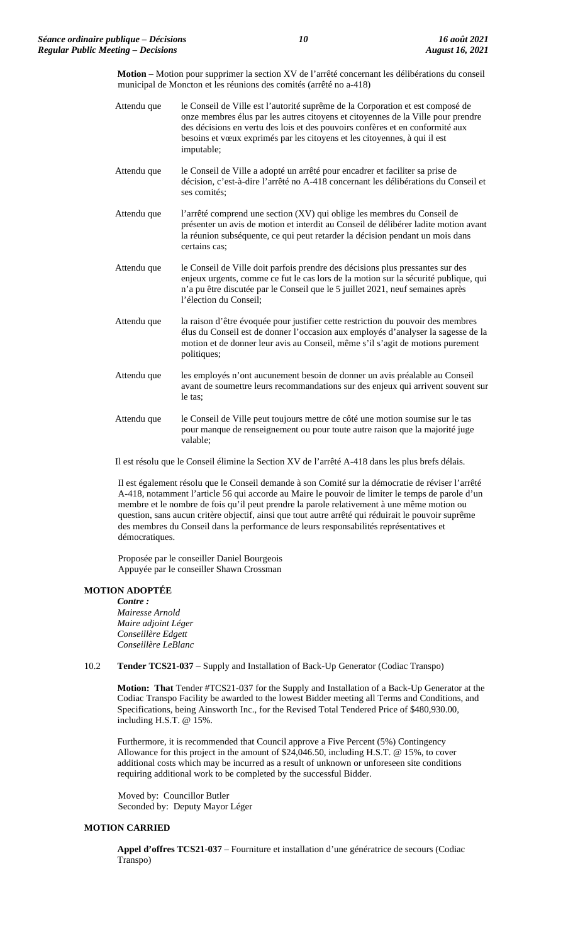**Motion** – Motion pour supprimer la section XV de l'arrêté concernant les délibérations du conseil municipal de Moncton et les réunions des comités (arrêté no a-418)

Attendu que le Conseil de Ville est l'autorité suprême de la Corporation et est composé de onze membres élus par les autres citoyens et citoyennes de la Ville pour prendre des décisions en vertu des lois et des pouvoirs confères et en conformité aux besoins et vœux exprimés par les citoyens et les citoyennes, à qui il est imputable; Attendu que le Conseil de Ville a adopté un arrêté pour encadrer et faciliter sa prise de décision, c'est-à-dire l'arrêté no A-418 concernant les délibérations du Conseil et ses comités; Attendu que l'arrêté comprend une section (XV) qui oblige les membres du Conseil de présenter un avis de motion et interdit au Conseil de délibérer ladite motion avant la réunion subséquente, ce qui peut retarder la décision pendant un mois dans certains cas; Attendu que le Conseil de Ville doit parfois prendre des décisions plus pressantes sur des enjeux urgents, comme ce fut le cas lors de la motion sur la sécurité publique, qui n'a pu être discutée par le Conseil que le 5 juillet 2021, neuf semaines après l'élection du Conseil; Attendu que la raison d'être évoquée pour justifier cette restriction du pouvoir des membres élus du Conseil est de donner l'occasion aux employés d'analyser la sagesse de la motion et de donner leur avis au Conseil, même s'il s'agit de motions purement politiques; Attendu que les employés n'ont aucunement besoin de donner un avis préalable au Conseil avant de soumettre leurs recommandations sur des enjeux qui arrivent souvent sur le tas; Attendu que le Conseil de Ville peut toujours mettre de côté une motion soumise sur le tas pour manque de renseignement ou pour toute autre raison que la majorité juge valable;

Il est résolu que le Conseil élimine la Section XV de l'arrêté A-418 dans les plus brefs délais.

Il est également résolu que le Conseil demande à son Comité sur la démocratie de réviser l'arrêté A-418, notamment l'article 56 qui accorde au Maire le pouvoir de limiter le temps de parole d'un membre et le nombre de fois qu'il peut prendre la parole relativement à une même motion ou question, sans aucun critère objectif, ainsi que tout autre arrêté qui réduirait le pouvoir suprême des membres du Conseil dans la performance de leurs responsabilités représentatives et démocratiques.

Proposée par le conseiller Daniel Bourgeois Appuyée par le conseiller Shawn Crossman

#### **MOTION ADOPTÉE**

*Contre : Mairesse Arnold Maire adjoint Léger Conseillère Edgett Conseillère LeBlanc*

#### 10.2 **Tender TCS21-037** – Supply and Installation of Back-Up Generator (Codiac Transpo)

**Motion: That** Tender #TCS21-037 for the Supply and Installation of a Back-Up Generator at the Codiac Transpo Facility be awarded to the lowest Bidder meeting all Terms and Conditions, and Specifications, being Ainsworth Inc., for the Revised Total Tendered Price of \$480,930.00, including H.S.T. @ 15%.

Furthermore, it is recommended that Council approve a Five Percent (5%) Contingency Allowance for this project in the amount of \$24,046.50, including H.S.T. @ 15%, to cover additional costs which may be incurred as a result of unknown or unforeseen site conditions requiring additional work to be completed by the successful Bidder.

Moved by: Councillor Butler Seconded by: Deputy Mayor Léger

### **MOTION CARRIED**

**Appel d'offres TCS21-037** – Fourniture et installation d'une génératrice de secours (Codiac Transpo)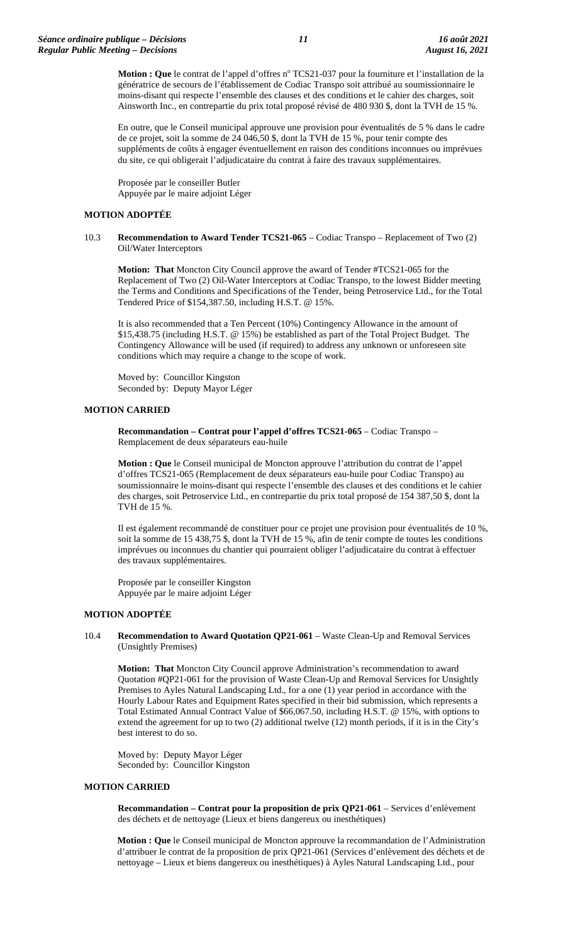Motion : Que le contrat de l'appel d'offres n° TCS21-037 pour la fourniture et l'installation de la génératrice de secours de l'établissement de Codiac Transpo soit attribué au soumissionnaire le moins-disant qui respecte l'ensemble des clauses et des conditions et le cahier des charges, soit Ainsworth Inc., en contrepartie du prix total proposé révisé de 480 930 \$, dont la TVH de 15 %.

En outre, que le Conseil municipal approuve une provision pour éventualités de 5 % dans le cadre de ce projet, soit la somme de 24 046,50 \$, dont la TVH de 15 %, pour tenir compte des suppléments de coûts à engager éventuellement en raison des conditions inconnues ou imprévues du site, ce qui obligerait l'adjudicataire du contrat à faire des travaux supplémentaires.

Proposée par le conseiller Butler Appuyée par le maire adjoint Léger

#### **MOTION ADOPTÉE**

#### 10.3 **Recommendation to Award Tender TCS21-065** – Codiac Transpo – Replacement of Two (2) Oil/Water Interceptors

**Motion: That** Moncton City Council approve the award of Tender #TCS21-065 for the Replacement of Two (2) Oil-Water Interceptors at Codiac Transpo, to the lowest Bidder meeting the Terms and Conditions and Specifications of the Tender, being Petroservice Ltd., for the Total Tendered Price of \$154,387.50, including H.S.T. @ 15%.

It is also recommended that a Ten Percent (10%) Contingency Allowance in the amount of \$15,438.75 (including H.S.T. @ 15%) be established as part of the Total Project Budget. The Contingency Allowance will be used (if required) to address any unknown or unforeseen site conditions which may require a change to the scope of work.

Moved by: Councillor Kingston Seconded by: Deputy Mayor Léger

#### **MOTION CARRIED**

**Recommandation – Contrat pour l'appel d'offres TCS21-065** – Codiac Transpo – Remplacement de deux séparateurs eau-huile

**Motion : Que** le Conseil municipal de Moncton approuve l'attribution du contrat de l'appel d'offres TCS21-065 (Remplacement de deux séparateurs eau-huile pour Codiac Transpo) au soumissionnaire le moins-disant qui respecte l'ensemble des clauses et des conditions et le cahier des charges, soit Petroservice Ltd., en contrepartie du prix total proposé de 154 387,50 \$, dont la TVH de 15 %.

Il est également recommandé de constituer pour ce projet une provision pour éventualités de 10 %, soit la somme de 15 438,75 \$, dont la TVH de 15 %, afin de tenir compte de toutes les conditions imprévues ou inconnues du chantier qui pourraient obliger l'adjudicataire du contrat à effectuer des travaux supplémentaires.

Proposée par le conseiller Kingston Appuyée par le maire adjoint Léger

#### **MOTION ADOPTÉE**

#### 10.4 **Recommendation to Award Quotation QP21-061** – Waste Clean-Up and Removal Services (Unsightly Premises)

**Motion: That** Moncton City Council approve Administration's recommendation to award Quotation #QP21-061 for the provision of Waste Clean-Up and Removal Services for Unsightly Premises to Ayles Natural Landscaping Ltd., for a one (1) year period in accordance with the Hourly Labour Rates and Equipment Rates specified in their bid submission, which represents a Total Estimated Annual Contract Value of \$66,067.50, including H.S.T. @ 15%, with options to extend the agreement for up to two (2) additional twelve (12) month periods, if it is in the City's best interest to do so.

Moved by: Deputy Mayor Léger Seconded by: Councillor Kingston

#### **MOTION CARRIED**

**Recommandation – Contrat pour la proposition de prix QP21-061** – Services d'enlèvement des déchets et de nettoyage (Lieux et biens dangereux ou inesthétiques)

**Motion : Que** le Conseil municipal de Moncton approuve la recommandation de l'Administration d'attribuer le contrat de la proposition de prix QP21-061 (Services d'enlèvement des déchets et de nettoyage – Lieux et biens dangereux ou inesthétiques) à Ayles Natural Landscaping Ltd., pour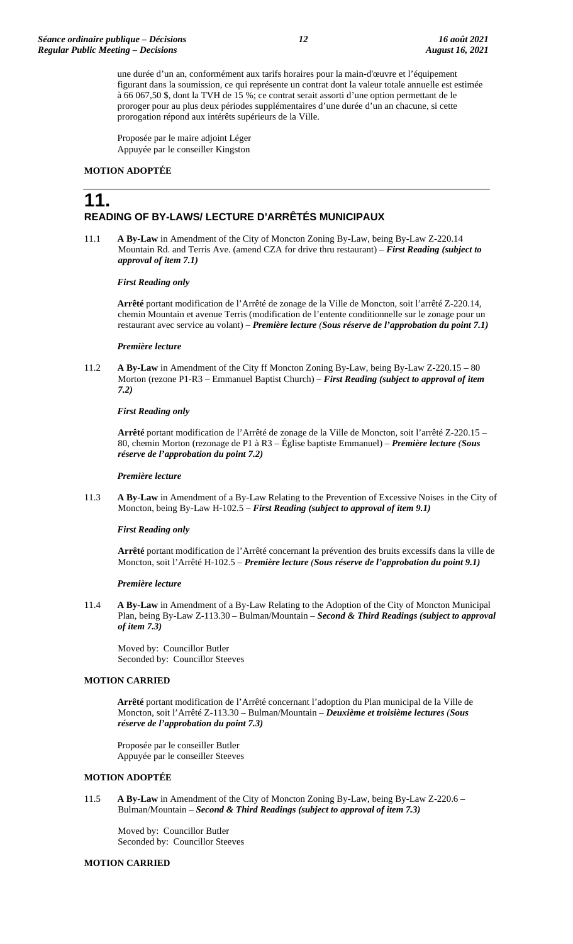une durée d'un an, conformément aux tarifs horaires pour la main-d'œuvre et l'équipement figurant dans la soumission, ce qui représente un contrat dont la valeur totale annuelle est estimée à 66 067,50 \$, dont la TVH de 15 %; ce contrat serait assorti d'une option permettant de le proroger pour au plus deux périodes supplémentaires d'une durée d'un an chacune, si cette prorogation répond aux intérêts supérieurs de la Ville.

Proposée par le maire adjoint Léger Appuyée par le conseiller Kingston

### **MOTION ADOPTÉE**

# **11. READING OF BY-LAWS/ LECTURE D'ARRÊTÉS MUNICIPAUX**

11.1 **A By-Law** in Amendment of the City of Moncton Zoning By-Law, being By-Law Z-220.14 Mountain Rd. and Terris Ave. (amend CZA for drive thru restaurant) – *First Reading (subject to approval of item 7.1)*

#### *First Reading only*

**Arrêté** portant modification de l'Arrêté de zonage de la Ville de Moncton, soit l'arrêté Z-220.14, chemin Mountain et avenue Terris (modification de l'entente conditionnelle sur le zonage pour un restaurant avec service au volant) – *Première lecture (Sous réserve de l'approbation du point 7.1)*

#### *Première lecture*

11.2 **A By-Law** in Amendment of the City ff Moncton Zoning By-Law, being By-Law Z-220.15 – 80 Morton (rezone P1-R3 – Emmanuel Baptist Church) – *First Reading (subject to approval of item 7.2)*

#### *First Reading only*

**Arrêté** portant modification de l'Arrêté de zonage de la Ville de Moncton, soit l'arrêté Z-220.15 – 80, chemin Morton (rezonage de P1 à R3 – Église baptiste Emmanuel) – *Première lecture (Sous réserve de l'approbation du point 7.2)*

#### *Première lecture*

11.3 **A By-Law** in Amendment of a By-Law Relating to the Prevention of Excessive Noises in the City of Moncton, being By-Law H-102.5 – *First Reading (subject to approval of item 9.1)*

#### *First Reading only*

**Arrêté** portant modification de l'Arrêté concernant la prévention des bruits excessifs dans la ville de Moncton, soit l'Arrêté H-102.5 – *Première lecture (Sous réserve de l'approbation du point 9.1)*

#### *Première lecture*

11.4 **A By-Law** in Amendment of a By-Law Relating to the Adoption of the City of Moncton Municipal Plan, being By-Law Z-113.30 – Bulman/Mountain – *Second & Third Readings (subject to approval of item 7.3)*

Moved by: Councillor Butler Seconded by: Councillor Steeves

#### **MOTION CARRIED**

**Arrêté** portant modification de l'Arrêté concernant l'adoption du Plan municipal de la Ville de Moncton, soit l'Arrêté Z-113.30 – Bulman/Mountain – *Deuxième et troisième lectures (Sous réserve de l'approbation du point 7.3)*

Proposée par le conseiller Butler Appuyée par le conseiller Steeves

## **MOTION ADOPTÉE**

11.5 **A By-Law** in Amendment of the City of Moncton Zoning By-Law, being By-Law Z-220.6 – Bulman/Mountain – *Second & Third Readings (subject to approval of item 7.3)*

Moved by: Councillor Butler Seconded by: Councillor Steeves

#### **MOTION CARRIED**